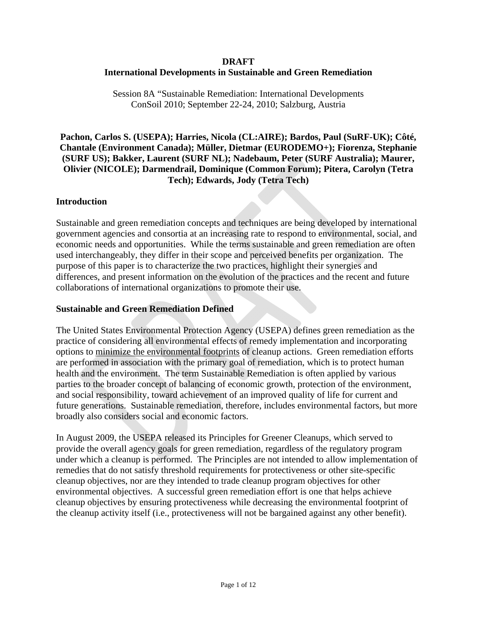### **DRAFT International Developments in Sustainable and Green Remediation**

Session 8A "Sustainable Remediation: International Developments ConSoil 2010; September 22-24, 2010; Salzburg, Austria

**Pachon, Carlos S. (USEPA); Harries, Nicola (CL:AIRE); Bardos, Paul (SuRF-UK); Côté, Chantale (Environment Canada); Müller, Dietmar (EURODEMO+); Fiorenza, Stephanie (SURF US); Bakker, Laurent (SURF NL); Nadebaum, Peter (SURF Australia); Maurer, Olivier (NICOLE); Darmendrail, Dominique (Common Forum); Pitera, Carolyn (Tetra Tech); Edwards, Jody (Tetra Tech)** 

### **Introduction**

Sustainable and green remediation concepts and techniques are being developed by international government agencies and consortia at an increasing rate to respond to environmental, social, and economic needs and opportunities. While the terms sustainable and green remediation are often used interchangeably, they differ in their scope and perceived benefits per organization. The purpose of this paper is to characterize the two practices, highlight their synergies and differences, and present information on the evolution of the practices and the recent and future collaborations of international organizations to promote their use.

### **Sustainable and Green Remediation Defined**

The United States Environmental Protection Agency (USEPA) defines green remediation as the practice of considering all environmental effects of remedy implementation and incorporating options to minimize the environmental footprints of cleanup actions. Green remediation efforts are performed in association with the primary goal of remediation, which is to protect human health and the environment. The term Sustainable Remediation is often applied by various parties to the broader concept of balancing of economic growth, protection of the environment, and social responsibility, toward achievement of an improved quality of life for current and future generations. Sustainable remediation, therefore, includes environmental factors, but more broadly also considers social and economic factors.

In August 2009, the USEPA released its Principles for Greener Cleanups, which served to provide the overall agency goals for green remediation, regardless of the regulatory program under which a cleanup is performed. The Principles are not intended to allow implementation of remedies that do not satisfy threshold requirements for protectiveness or other site-specific cleanup objectives, nor are they intended to trade cleanup program objectives for other environmental objectives. A successful green remediation effort is one that helps achieve cleanup objectives by ensuring protectiveness while decreasing the environmental footprint of the cleanup activity itself (i.e., protectiveness will not be bargained against any other benefit).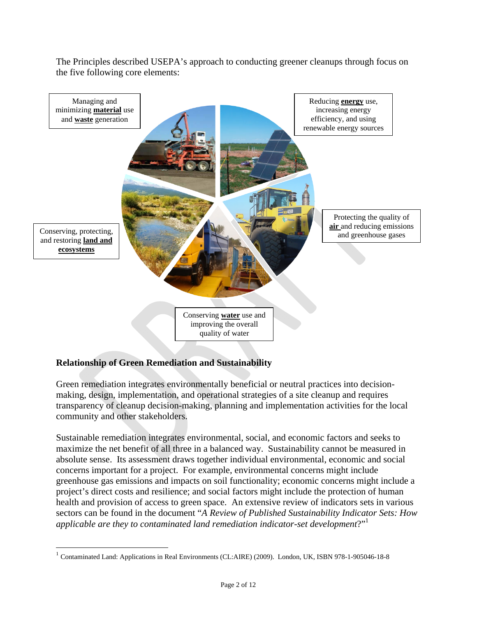The Principles described USEPA's approach to conducting greener cleanups through focus on the five following core elements:



# **Relationship of Green Remediation and Sustainability**

 $\overline{a}$ 

Green remediation integrates environmentally beneficial or neutral practices into decisionmaking, design, implementation, and operational strategies of a site cleanup and requires transparency of cleanup decision-making, planning and implementation activities for the local community and other stakeholders.

Sustainable remediation integrates environmental, social, and economic factors and seeks to maximize the net benefit of all three in a balanced way. Sustainability cannot be measured in absolute sense. Its assessment draws together individual environmental, economic and social concerns important for a project. For example, environmental concerns might include greenhouse gas emissions and impacts on soil functionality; economic concerns might include a project's direct costs and resilience; and social factors might include the protection of human health and provision of access to green space. An extensive review of indicators sets in various sectors can be found in the document "*A Review of Published Sustainability Indicator Sets: How applicable are they to contaminated land remediation indicator-set development*?"1

<sup>&</sup>lt;sup>1</sup> Contaminated Land: Applications in Real Environments (CL:AIRE) (2009). London, UK, ISBN 978-1-905046-18-8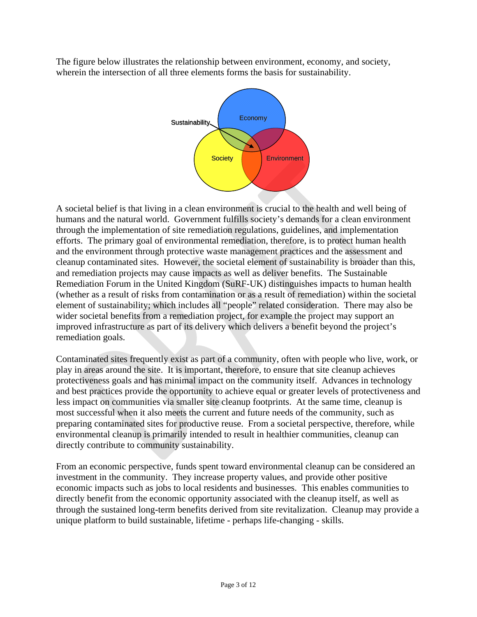The figure below illustrates the relationship between environment, economy, and society, wherein the intersection of all three elements forms the basis for sustainability.



A societal belief is that living in a clean environment is crucial to the health and well being of humans and the natural world. Government fulfills society's demands for a clean environment through the implementation of site remediation regulations, guidelines, and implementation efforts. The primary goal of environmental remediation, therefore, is to protect human health and the environment through protective waste management practices and the assessment and cleanup contaminated sites. However, the societal element of sustainability is broader than this, and remediation projects may cause impacts as well as deliver benefits. The Sustainable Remediation Forum in the United Kingdom (SuRF-UK) distinguishes impacts to human health (whether as a result of risks from contamination or as a result of remediation) within the societal element of sustainability; which includes all "people" related consideration. There may also be wider societal benefits from a remediation project, for example the project may support an improved infrastructure as part of its delivery which delivers a benefit beyond the project's remediation goals.

Contaminated sites frequently exist as part of a community, often with people who live, work, or play in areas around the site. It is important, therefore, to ensure that site cleanup achieves protectiveness goals and has minimal impact on the community itself. Advances in technology and best practices provide the opportunity to achieve equal or greater levels of protectiveness and less impact on communities via smaller site cleanup footprints. At the same time, cleanup is most successful when it also meets the current and future needs of the community, such as preparing contaminated sites for productive reuse. From a societal perspective, therefore, while environmental cleanup is primarily intended to result in healthier communities, cleanup can directly contribute to community sustainability.

From an economic perspective, funds spent toward environmental cleanup can be considered an investment in the community. They increase property values, and provide other positive economic impacts such as jobs to local residents and businesses. This enables communities to directly benefit from the economic opportunity associated with the cleanup itself, as well as through the sustained long-term benefits derived from site revitalization. Cleanup may provide a unique platform to build sustainable, lifetime - perhaps life-changing - skills.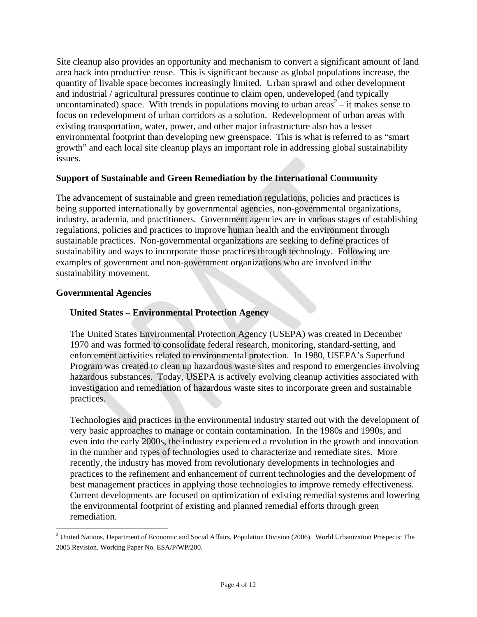Site cleanup also provides an opportunity and mechanism to convert a significant amount of land area back into productive reuse. This is significant because as global populations increase, the quantity of livable space becomes increasingly limited. Urban sprawl and other development and industrial / agricultural pressures continue to claim open, undeveloped (and typically uncontaminated) space. With trends in populations moving to urban areas<sup>2</sup> – it makes sense to focus on redevelopment of urban corridors as a solution. Redevelopment of urban areas with existing transportation, water, power, and other major infrastructure also has a lesser environmental footprint than developing new greenspace. This is what is referred to as "smart growth" and each local site cleanup plays an important role in addressing global sustainability issues.

## **Support of Sustainable and Green Remediation by the International Community**

The advancement of sustainable and green remediation regulations, policies and practices is being supported internationally by governmental agencies, non-governmental organizations, industry, academia, and practitioners. Government agencies are in various stages of establishing regulations, policies and practices to improve human health and the environment through sustainable practices. Non-governmental organizations are seeking to define practices of sustainability and ways to incorporate those practices through technology. Following are examples of government and non-government organizations who are involved in the sustainability movement.

## **Governmental Agencies**

## **United States – Environmental Protection Agency**

The United States Environmental Protection Agency (USEPA) was created in December 1970 and was formed to consolidate federal research, monitoring, standard-setting, and enforcement activities related to environmental protection. In 1980, USEPA's Superfund Program was created to clean up hazardous waste sites and respond to emergencies involving hazardous substances. Today, USEPA is actively evolving cleanup activities associated with investigation and remediation of hazardous waste sites to incorporate green and sustainable practices.

Technologies and practices in the environmental industry started out with the development of very basic approaches to manage or contain contamination. In the 1980s and 1990s, and even into the early 2000s, the industry experienced a revolution in the growth and innovation in the number and types of technologies used to characterize and remediate sites. More recently, the industry has moved from revolutionary developments in technologies and practices to the refinement and enhancement of current technologies and the development of best management practices in applying those technologies to improve remedy effectiveness. Current developments are focused on optimization of existing remedial systems and lowering the environmental footprint of existing and planned remedial efforts through green remediation.

<sup>&</sup>lt;sup>2</sup> United Nations, Department of Economic and Social Affairs, Population Division (2006). World Urbanization Prospects: The 2005 Revision. Working Paper No. ESA/P/WP/200.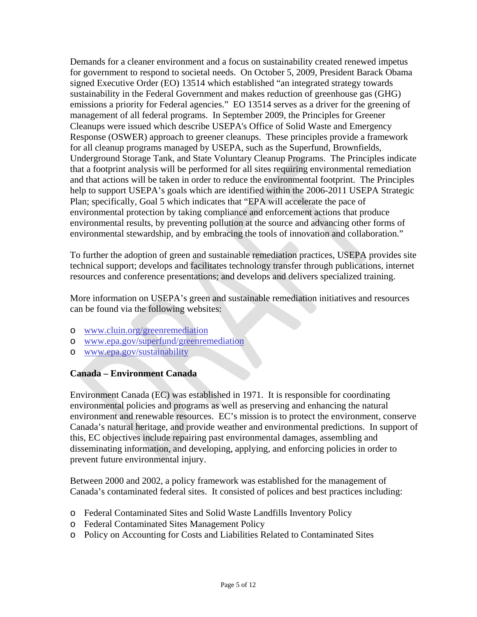Demands for a cleaner environment and a focus on sustainability created renewed impetus for government to respond to societal needs. On October 5, 2009, President Barack Obama signed Executive Order (EO) 13514 which established "an integrated strategy towards sustainability in the Federal Government and makes reduction of greenhouse gas (GHG) emissions a priority for Federal agencies." EO 13514 serves as a driver for the greening of management of all federal programs. In September 2009, the Principles for Greener Cleanups were issued which describe USEPA's Office of Solid Waste and Emergency Response (OSWER) approach to greener cleanups. These principles provide a framework for all cleanup programs managed by USEPA, such as the Superfund, Brownfields, Underground Storage Tank, and State Voluntary Cleanup Programs. The Principles indicate that a footprint analysis will be performed for all sites requiring environmental remediation and that actions will be taken in order to reduce the environmental footprint. The Principles help to support USEPA's goals which are identified within the 2006-2011 USEPA Strategic Plan; specifically, Goal 5 which indicates that "EPA will accelerate the pace of environmental protection by taking compliance and enforcement actions that produce environmental results, by preventing pollution at the source and advancing other forms of environmental stewardship, and by embracing the tools of innovation and collaboration."

To further the adoption of green and sustainable remediation practices, USEPA provides site technical support; develops and facilitates technology transfer through publications, internet resources and conference presentations; and develops and delivers specialized training.

More information on USEPA's green and sustainable remediation initiatives and resources can be found via the following websites:

- o [www.cluin.org/greenremediation](http://www.cluin.org/greenremediation)
- o [www.epa.gov/superfund/greenremediation](http://www.epa.gov/superfund/greenremediation)
- o [www.epa.gov/sustainability](http://www.epa.gov/sustainability)

### **Canada – Environment Canada**

Environment Canada (EC) was established in 1971. It is responsible for coordinating environmental policies and programs as well as preserving and enhancing the natural environment and renewable resources. EC's mission is to protect the environment, conserve Canada's natural heritage, and provide weather and environmental predictions. In support of this, EC objectives include repairing past environmental damages, assembling and disseminating information, and developing, applying, and enforcing policies in order to prevent future environmental injury.

Between 2000 and 2002, a policy framework was established for the management of Canada's contaminated federal sites. It consisted of polices and best practices including:

- o Federal Contaminated Sites and Solid Waste Landfills Inventory Policy
- o Federal Contaminated Sites Management Policy
- o Policy on Accounting for Costs and Liabilities Related to Contaminated Sites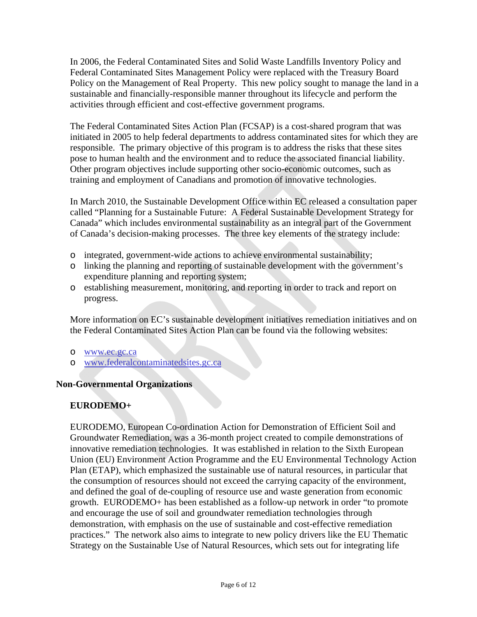In 2006, the Federal Contaminated Sites and Solid Waste Landfills Inventory Policy and Federal Contaminated Sites Management Policy were replaced with the Treasury Board Policy on the Management of Real Property. This new policy sought to manage the land in a sustainable and financially-responsible manner throughout its lifecycle and perform the activities through efficient and cost-effective government programs.

The Federal Contaminated Sites Action Plan (FCSAP) is a cost-shared program that was initiated in 2005 to help federal departments to address contaminated sites for which they are responsible. The primary objective of this program is to address the risks that these sites pose to human health and the environment and to reduce the associated financial liability. Other program objectives include supporting other socio-economic outcomes, such as training and employment of Canadians and promotion of innovative technologies.

In March 2010, the Sustainable Development Office within EC released a consultation paper called "Planning for a Sustainable Future: A Federal Sustainable Development Strategy for Canada" which includes environmental sustainability as an integral part of the Government of Canada's decision-making processes. The three key elements of the strategy include:

- o integrated, government-wide actions to achieve environmental sustainability;
- o linking the planning and reporting of sustainable development with the government's expenditure planning and reporting system;
- o establishing measurement, monitoring, and reporting in order to track and report on progress.

More information on EC's sustainable development initiatives remediation initiatives and on the Federal Contaminated Sites Action Plan can be found via the following websites:

- o [www.ec.gc.ca](http://www.ec.gc.ca)
- o [www.federalcontaminatedsites.gc.ca](http://www.federalcontaminatedsites.gc.ca)

### **Non-Governmental Organizations**

## **EURODEMO+**

EURODEMO, European Co-ordination Action for Demonstration of Efficient Soil and Groundwater Remediation, was a 36-month project created to compile demonstrations of innovative remediation technologies. It was established in relation to the Sixth European Union (EU) Environment Action Programme and the EU Environmental Technology Action Plan (ETAP), which emphasized the sustainable use of natural resources, in particular that the consumption of resources should not exceed the carrying capacity of the environment, and defined the goal of de-coupling of resource use and waste generation from economic growth. EURODEMO+ has been established as a follow-up network in order "to promote and encourage the use of soil and groundwater remediation technologies through demonstration, with emphasis on the use of sustainable and cost-effective remediation practices." The network also aims to integrate to new policy drivers like the EU Thematic Strategy on the Sustainable Use of Natural Resources, which sets out for integrating life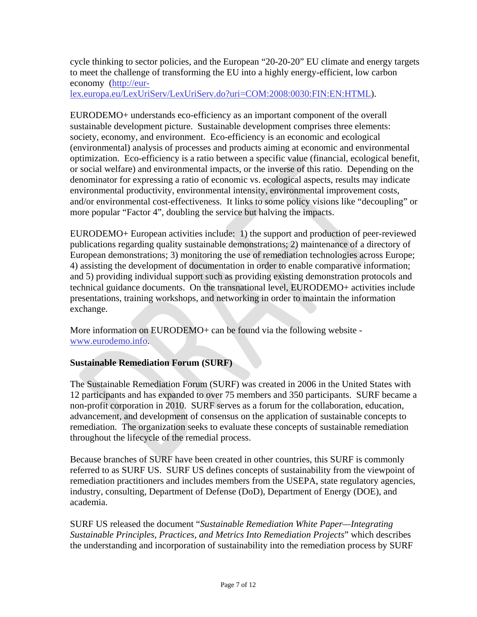cycle thinking to sector policies, and the European "20-20-20" EU climate and energy targets to meet the challenge of transforming the EU into a highly energy-efficient, low carbon economy ([http://eur](http://eur-lex.europa.eu/LexUriServ/LexUriServ.do?uri=COM:2008:0030:FIN:EN:HTML)-

[lex.europa.eu/LexUriServ/LexUriServ.do?uri=COM:2008:0030:FIN:EN:HTML\).](http://eur-lex.europa.eu/LexUriServ/LexUriServ.do?uri=COM:2008:0030:FIN:EN:HTML) 

EURODEMO+ understands eco-efficiency as an important component of the overall sustainable development picture. Sustainable development comprises three elements: society, economy, and environment. Eco-efficiency is an economic and ecological (environmental) analysis of processes and products aiming at economic and environmental optimization. Eco-efficiency is a ratio between a specific value (financial, ecological benefit, or social welfare) and environmental impacts, or the inverse of this ratio. Depending on the denominator for expressing a ratio of economic vs. ecological aspects, results may indicate environmental productivity, environmental intensity, environmental improvement costs, and/or environmental cost-effectiveness. It links to some policy visions like "decoupling" or more popular "Factor 4", doubling the service but halving the impacts.

EURODEMO+ European activities include: 1) the support and production of peer-reviewed publications regarding quality sustainable demonstrations; 2) maintenance of a directory of European demonstrations; 3) monitoring the use of remediation technologies across Europe; 4) assisting the development of documentation in order to enable comparative information; and 5) providing individual support such as providing existing demonstration protocols and technical guidance documents. On the transnational level, EURODEMO+ activities include presentations, training workshops, and networking in order to maintain the information exchange.

More information on EURODEMO+ can be found via the following website [www.eurodemo.info.](http://www.eurodemo.info) 

## **Sustainable Remediation Forum (SURF)**

The Sustainable Remediation Forum (SURF) was created in 2006 in the United States with 12 participants and has expanded to over 75 members and 350 participants. SURF became a non-profit corporation in 2010. SURF serves as a forum for the collaboration, education, advancement, and development of consensus on the application of sustainable concepts to remediation. The organization seeks to evaluate these concepts of sustainable remediation throughout the lifecycle of the remedial process.

Because branches of SURF have been created in other countries, this SURF is commonly referred to as SURF US. SURF US defines concepts of sustainability from the viewpoint of remediation practitioners and includes members from the USEPA, state regulatory agencies, industry, consulting, Department of Defense (DoD), Department of Energy (DOE), and academia.

SURF US released the document "*Sustainable Remediation White Paper—Integrating Sustainable Principles, Practices, and Metrics Into Remediation Projects*" which describes the understanding and incorporation of sustainability into the remediation process by SURF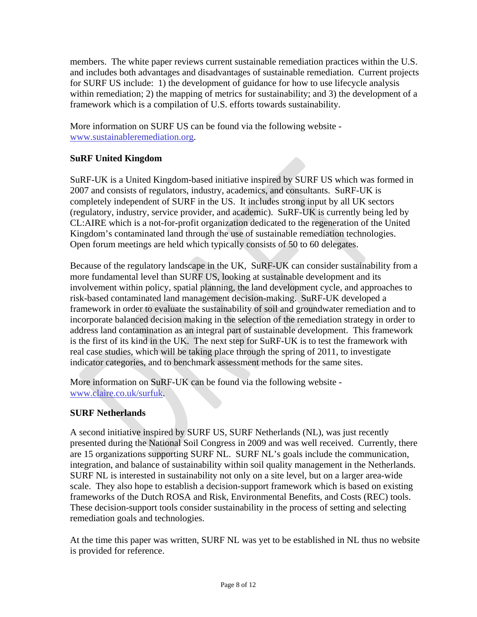members. The white paper reviews current sustainable remediation practices within the U.S. and includes both advantages and disadvantages of sustainable remediation. Current projects for SURF US include: 1) the development of guidance for how to use lifecycle analysis within remediation; 2) the mapping of metrics for sustainability; and 3) the development of a framework which is a compilation of U.S. efforts towards sustainability.

More information on SURF US can be found via the following website [www.sustainableremediation.org.](http://www.sustainableremediation.org) 

# **SuRF United Kingdom**

SuRF-UK is a United Kingdom-based initiative inspired by SURF US which was formed in 2007 and consists of regulators, industry, academics, and consultants. SuRF-UK is completely independent of SURF in the US. It includes strong input by all UK sectors (regulatory, industry, service provider, and academic). SuRF-UK is currently being led by CL:AIRE which is a not-for-profit organization dedicated to the regeneration of the United Kingdom's contaminated land through the use of sustainable remediation technologies. Open forum meetings are held which typically consists of 50 to 60 delegates.

Because of the regulatory landscape in the UK, SuRF-UK can consider sustainability from a more fundamental level than SURF US, looking at sustainable development and its involvement within policy, spatial planning, the land development cycle, and approaches to risk-based contaminated land management decision-making. SuRF-UK developed a framework in order to evaluate the sustainability of soil and groundwater remediation and to incorporate balanced decision making in the selection of the remediation strategy in order to address land contamination as an integral part of sustainable development. This framework is the first of its kind in the UK. The next step for SuRF-UK is to test the framework with real case studies, which will be taking place through the spring of 2011, to investigate indicator categories, and to benchmark assessment methods for the same sites.

More information on SuRF-UK can be found via the following website [www.claire.co.uk/surfuk.](http://www.claire.co.uk/surfuk) 

# **SURF Netherlands**

A second initiative inspired by SURF US, SURF Netherlands (NL), was just recently presented during the National Soil Congress in 2009 and was well received. Currently, there are 15 organizations supporting SURF NL. SURF NL's goals include the communication, integration, and balance of sustainability within soil quality management in the Netherlands. SURF NL is interested in sustainability not only on a site level, but on a larger area-wide scale. They also hope to establish a decision-support framework which is based on existing frameworks of the Dutch ROSA and Risk, Environmental Benefits, and Costs (REC) tools. These decision-support tools consider sustainability in the process of setting and selecting remediation goals and technologies.

At the time this paper was written, SURF NL was yet to be established in NL thus no website is provided for reference.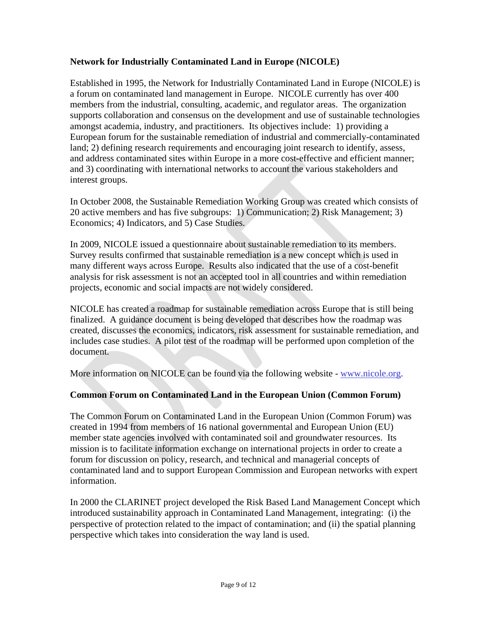## **Network for Industrially Contaminated Land in Europe (NICOLE)**

Established in 1995, the Network for Industrially Contaminated Land in Europe (NICOLE) is a forum on contaminated land management in Europe. NICOLE currently has over 400 members from the industrial, consulting, academic, and regulator areas. The organization supports collaboration and consensus on the development and use of sustainable technologies amongst academia, industry, and practitioners. Its objectives include: 1) providing a European forum for the sustainable remediation of industrial and commercially-contaminated land; 2) defining research requirements and encouraging joint research to identify, assess, and address contaminated sites within Europe in a more cost-effective and efficient manner; and 3) coordinating with international networks to account the various stakeholders and interest groups.

In October 2008, the Sustainable Remediation Working Group was created which consists of 20 active members and has five subgroups: 1) Communication; 2) Risk Management; 3) Economics; 4) Indicators, and 5) Case Studies.

In 2009, NICOLE issued a questionnaire about sustainable remediation to its members. Survey results confirmed that sustainable remediation is a new concept which is used in many different ways across Europe. Results also indicated that the use of a cost-benefit analysis for risk assessment is not an accepted tool in all countries and within remediation projects, economic and social impacts are not widely considered.

NICOLE has created a roadmap for sustainable remediation across Europe that is still being finalized. A guidance document is being developed that describes how the roadmap was created, discusses the economics, indicators, risk assessment for sustainable remediation, and includes case studies. A pilot test of the roadmap will be performed upon completion of the document.

More information on NICOLE can be found via the following website - [www.nicole.org.](http://www.nicole.org) 

## **Common Forum on Contaminated Land in the European Union (Common Forum)**

The Common Forum on Contaminated Land in the European Union (Common Forum) was created in 1994 from members of 16 national governmental and European Union (EU) member state agencies involved with contaminated soil and groundwater resources. Its mission is to facilitate information exchange on international projects in order to create a forum for discussion on policy, research, and technical and managerial concepts of contaminated land and to support European Commission and European networks with expert information.

In 2000 the CLARINET project developed the Risk Based Land Management Concept which introduced sustainability approach in Contaminated Land Management, integrating: (i) the perspective of protection related to the impact of contamination; and (ii) the spatial planning perspective which takes into consideration the way land is used.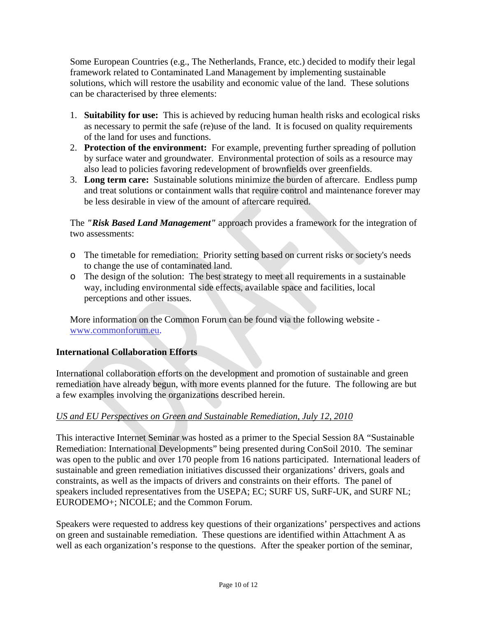Some European Countries (e.g., The Netherlands, France, etc.) decided to modify their legal framework related to Contaminated Land Management by implementing sustainable solutions, which will restore the usability and economic value of the land. These solutions can be characterised by three elements:

- 1. **Suitability for use:** This is achieved by reducing human health risks and ecological risks as necessary to permit the safe (re)use of the land. It is focused on quality requirements of the land for uses and functions.
- 2. **Protection of the environment:** For example, preventing further spreading of pollution by surface water and groundwater. Environmental protection of soils as a resource may also lead to policies favoring redevelopment of brownfields over greenfields.
- 3. **Long term care:** Sustainable solutions minimize the burden of aftercare. Endless pump and treat solutions or containment walls that require control and maintenance forever may be less desirable in view of the amount of aftercare required.

The *"Risk Based Land Management"* approach provides a framework for the integration of two assessments:

- o The timetable for remediation: Priority setting based on current risks or society's needs to change the use of contaminated land.
- o The design of the solution: The best strategy to meet all requirements in a sustainable way, including environmental side effects, available space and facilities, local perceptions and other issues.

More information on the Common Forum can be found via the following website [www.commonforum.eu.](http://www.commonforum.eu) 

## **International Collaboration Efforts**

International collaboration efforts on the development and promotion of sustainable and green remediation have already begun, with more events planned for the future. The following are but a few examples involving the organizations described herein.

# *US and EU Perspectives on Green and Sustainable Remediation*, *July 12, 2010*

This interactive Internet Seminar was hosted as a primer to the Special Session 8A "Sustainable Remediation: International Developments" being presented during ConSoil 2010. The seminar was open to the public and over 170 people from 16 nations participated. International leaders of sustainable and green remediation initiatives discussed their organizations' drivers, goals and constraints, as well as the impacts of drivers and constraints on their efforts. The panel of speakers included representatives from the USEPA; EC; SURF US, SuRF-UK, and SURF NL; EURODEMO+; NICOLE; and the Common Forum.

Speakers were requested to address key questions of their organizations' perspectives and actions on green and sustainable remediation. These questions are identified within Attachment A as well as each organization's response to the questions. After the speaker portion of the seminar,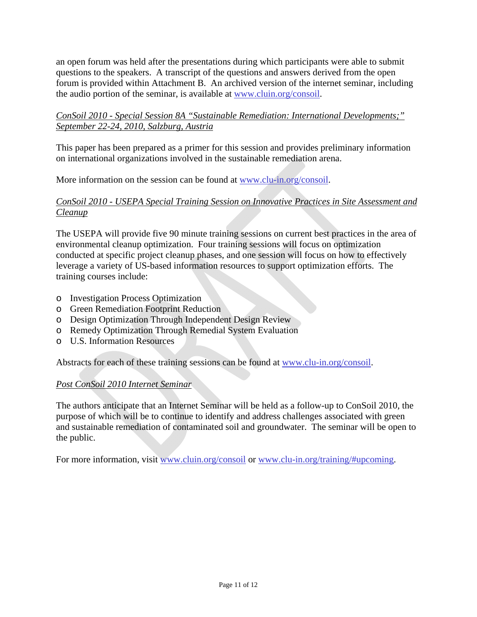an open forum was held after the presentations during which participants were able to submit questions to the speakers. A transcript of the questions and answers derived from the open forum is provided within Attachment B. An archived version of the internet seminar, including the audio portion of the seminar, is available at [www.cluin.org/consoil.](http://www.cluin.org/consoil) 

## *ConSoil 2010 - Special Session 8A "Sustainable Remediation: International Developments;" September 22-24, 2010, Salzburg, Austria*

This paper has been prepared as a primer for this session and provides preliminary information on international organizations involved in the sustainable remediation arena.

More information on the session can be found at www.clu-in.org/consoil.

## *ConSoil 2010 - USEPA Special Training Session on Innovative Practices in Site Assessment and Cleanup*

The USEPA will provide five 90 minute training sessions on current best practices in the area of environmental cleanup optimization. Four training sessions will focus on optimization conducted at specific project cleanup phases, and one session will focus on how to effectively leverage a variety of US-based information resources to support optimization efforts. The training courses include:

- o Investigation Process Optimization
- o Green Remediation Footprint Reduction
- o Design Optimization Through Independent Design Review
- o Remedy Optimization Through Remedial System Evaluation
- o U.S. Information Resources

Abstracts for each of these training sessions can be found at [www.clu-in.org/consoil.](http://www.clu-in.org/consoil) 

# *Post ConSoil 2010 Internet Seminar*

The authors anticipate that an Internet Seminar will be held as a follow-up to ConSoil 2010, the purpose of which will be to continue to identify and address challenges associated with green and sustainable remediation of contaminated soil and groundwater. The seminar will be open to the public.

For more information, visit [www.cluin.org/consoil or](http://www.cluin.org/consoil) [www.clu-in.org/training/#upcoming.](http://www.clu-in.org/training/#upcoming)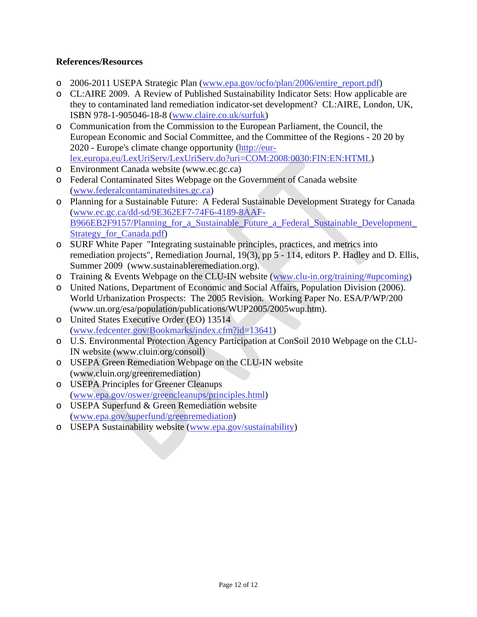## **References/Resources**

- o 2006-2011 USEPA Strategic Plan [\(www.epa.gov/ocfo/plan/2006/entire\\_report.pdf\)](http://www.epa.gov/ocfo/plan/2006/entire_report.pdf)
- o CL:AIRE 2009. A Review of Published Sustainability Indicator Sets: How applicable are they to contaminated land remediation indicator-set development? CL:AIRE, London, UK, ISBN 978-1-905046-18-8 [\(www.claire.co.uk/surfuk\)](http://www.claire.co.uk/surfuk)
- o Communication from the Commission to the European Parliament, the Council, the European Economic and Social Committee, and the Committee of the Regions - 20 20 by 2020 - Europe's climate change opportunity ([http://eur](http://eur-lex.europa.eu/LexUriServ/LexUriServ.do?uri=COM:2008:0030:FIN:EN:HTML)[lex.europa.eu/LexUriServ/LexUriServ.do?uri=COM:2008:0030:FIN:EN:HTML\)](http://eur-lex.europa.eu/LexUriServ/LexUriServ.do?uri=COM:2008:0030:FIN:EN:HTML)
- o Environment Canada website [\(www.ec.gc.ca\)](http://www.ec.gc.ca)
- o Federal Contaminated Sites Webpage on the Government of Canada website ([www.federalcontaminatedsites.gc.ca\)](http://www.federalcontaminatedsites.gc.ca)
- o Planning for a Sustainable Future: A Federal Sustainable Development Strategy for Canada ([www.ec.gc.ca/dd-sd/9E362EF7-74F6-4189-8A](http://www.ec.gc.ca/dd-sd/9E362EF7-74F6-4189-8AAF-B966EB2F9157/Planning_for_a_Sustainable_Future_a_Federal_Sustainable_Development_Strategy_for_Canada.pdf)AF-[B966EB2F9157/Planning\\_for\\_a\\_Sustainable\\_Future\\_a\\_Federal\\_Sustainable\\_Development\\_](http://www.ec.gc.ca/dd-sd/9E362EF7-74F6-4189-8AAF-B966EB2F9157/Planning_for_a_Sustainable_Future_a_Federal_Sustainable_Development_Strategy_for_Canada.pdf) Strategy for Canada.pdf)
- o SURF White Paper "Integrating sustainable principles, practices, and metrics into remediation projects", Remediation Journal, 19(3), pp 5 - 114, editors P. Hadley and D. Ellis, Summer 2009 ([www.sustainableremediation.org\).](http://www.sustainableremediation.org)
- o Training & Events Webpage on the CLU-IN website ([www.clu-in.org/training/#upcoming\)](http://www.clu-in.org/training/#upcoming)
- o United Nations, Department of Economic and Social Affairs, Population Division (2006). World Urbanization Prospects: The 2005 Revision. Working Paper No. ESA/P/WP/200 ([www.un.org/esa/population/publications/WUP2005/2005wup.htm\).](http://www.un.org/esa/population/publications/WUP2005/2005wup.htm)
- o United States Executive Order (EO) 13514 ([www.fedcenter.gov/Bookmarks/index.cfm?id=13641\)](http://www.fedcenter.gov/Bookmarks/index.cfm?id=13641)
- o U.S. Environmental Protection Agency Participation at ConSoil 2010 Webpage on the CLU-IN website [\(www.cluin.org/consoil\)](http://www.cluin.org/consoil)
- o USEPA Green Remediation Webpage on the CLU-IN website ([www.cluin.org/greenremediation\)](http://www.cluin.org/greenremediation)
- o USEPA Principles for Greener Cleanups ([www.epa.gov/oswer/greencleanups/principles.html\)](http://www.epa.gov/oswer/greencleanups/principles.html)
- o USEPA Superfund & Green Remediation website ([www.epa.gov/superfund/greenremediation\)](http://www.epa.gov/superfund/greenremediation)
- o USEPA Sustainability website ([www.epa.gov/sustainability\)](http://www.epa.gov/sustainability)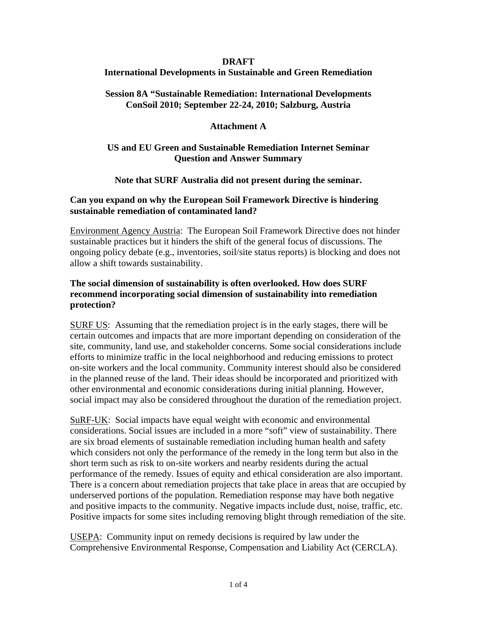### **DRAFT**

## **International Developments in Sustainable and Green Remediation**

## **Session 8A "Sustainable Remediation: International Developments ConSoil 2010; September 22-24, 2010; Salzburg, Austria**

## **Attachment A**

## **US and EU Green and Sustainable Remediation Internet Seminar Question and Answer Summary**

**Note that SURF Australia did not present during the seminar.** 

## **Can you expand on why the European Soil Framework Directive is hindering sustainable remediation of contaminated land?**

Environment Agency Austria: The European Soil Framework Directive does not hinder sustainable practices but it hinders the shift of the general focus of discussions. The ongoing policy debate (e.g., inventories, soil/site status reports) is blocking and does not allow a shift towards sustainability.

## **The social dimension of sustainability is often overlooked. How does SURF recommend incorporating social dimension of sustainability into remediation protection?**

SURF US: Assuming that the remediation project is in the early stages, there will be certain outcomes and impacts that are more important depending on consideration of the site, community, land use, and stakeholder concerns. Some social considerations include efforts to minimize traffic in the local neighborhood and reducing emissions to protect on-site workers and the local community. Community interest should also be considered in the planned reuse of the land. Their ideas should be incorporated and prioritized with other environmental and economic considerations during initial planning. However, social impact may also be considered throughout the duration of the remediation project.

SuRF-UK: Social impacts have equal weight with economic and environmental considerations. Social issues are included in a more "soft" view of sustainability. There are six broad elements of sustainable remediation including human health and safety which considers not only the performance of the remedy in the long term but also in the short term such as risk to on-site workers and nearby residents during the actual performance of the remedy. Issues of equity and ethical consideration are also important. There is a concern about remediation projects that take place in areas that are occupied by underserved portions of the population. Remediation response may have both negative and positive impacts to the community. Negative impacts include dust, noise, traffic, etc. Positive impacts for some sites including removing blight through remediation of the site.

USEPA: Community input on remedy decisions is required by law under the Comprehensive Environmental Response, Compensation and Liability Act (CERCLA).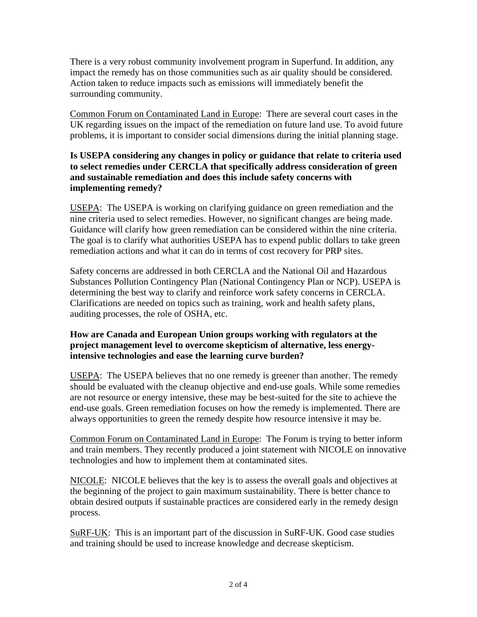There is a very robust community involvement program in Superfund. In addition, any impact the remedy has on those communities such as air quality should be considered. Action taken to reduce impacts such as emissions will immediately benefit the surrounding community.

Common Forum on Contaminated Land in Europe: There are several court cases in the UK regarding issues on the impact of the remediation on future land use. To avoid future problems, it is important to consider social dimensions during the initial planning stage.

## **Is USEPA considering any changes in policy or guidance that relate to criteria used to select remedies under CERCLA that specifically address consideration of green and sustainable remediation and does this include safety concerns with implementing remedy?**

USEPA: The USEPA is working on clarifying guidance on green remediation and the nine criteria used to select remedies. However, no significant changes are being made. Guidance will clarify how green remediation can be considered within the nine criteria. The goal is to clarify what authorities USEPA has to expend public dollars to take green remediation actions and what it can do in terms of cost recovery for PRP sites.

Safety concerns are addressed in both CERCLA and the National Oil and Hazardous Substances Pollution Contingency Plan (National Contingency Plan or NCP). USEPA is determining the best way to clarify and reinforce work safety concerns in CERCLA. Clarifications are needed on topics such as training, work and health safety plans, auditing processes, the role of OSHA, etc.

## **How are Canada and European Union groups working with regulators at the project management level to overcome skepticism of alternative, less energyintensive technologies and ease the learning curve burden?**

USEPA: The USEPA believes that no one remedy is greener than another. The remedy should be evaluated with the cleanup objective and end-use goals. While some remedies are not resource or energy intensive, these may be best-suited for the site to achieve the end-use goals. Green remediation focuses on how the remedy is implemented. There are always opportunities to green the remedy despite how resource intensive it may be.

Common Forum on Contaminated Land in Europe: The Forum is trying to better inform and train members. They recently produced a joint statement with NICOLE on innovative technologies and how to implement them at contaminated sites.

NICOLE: NICOLE believes that the key is to assess the overall goals and objectives at the beginning of the project to gain maximum sustainability. There is better chance to obtain desired outputs if sustainable practices are considered early in the remedy design process.

SuRF-UK: This is an important part of the discussion in SuRF-UK. Good case studies and training should be used to increase knowledge and decrease skepticism.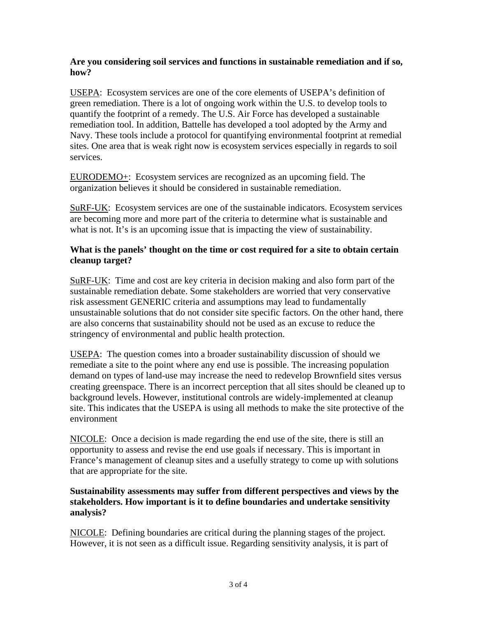### **Are you considering soil services and functions in sustainable remediation and if so, how?**

USEPA: Ecosystem services are one of the core elements of USEPA's definition of green remediation. There is a lot of ongoing work within the U.S. to develop tools to quantify the footprint of a remedy. The U.S. Air Force has developed a sustainable remediation tool. In addition, Battelle has developed a tool adopted by the Army and Navy. These tools include a protocol for quantifying environmental footprint at remedial sites. One area that is weak right now is ecosystem services especially in regards to soil services.

EURODEMO+: Ecosystem services are recognized as an upcoming field. The organization believes it should be considered in sustainable remediation.

SuRF-UK: Ecosystem services are one of the sustainable indicators. Ecosystem services are becoming more and more part of the criteria to determine what is sustainable and what is not. It's is an upcoming issue that is impacting the view of sustainability.

## **What is the panels' thought on the time or cost required for a site to obtain certain cleanup target?**

SuRF-UK: Time and cost are key criteria in decision making and also form part of the sustainable remediation debate. Some stakeholders are worried that very conservative risk assessment GENERIC criteria and assumptions may lead to fundamentally unsustainable solutions that do not consider site specific factors. On the other hand, there are also concerns that sustainability should not be used as an excuse to reduce the stringency of environmental and public health protection.

USEPA: The question comes into a broader sustainability discussion of should we remediate a site to the point where any end use is possible. The increasing population demand on types of land-use may increase the need to redevelop Brownfield sites versus creating greenspace. There is an incorrect perception that all sites should be cleaned up to background levels. However, institutional controls are widely-implemented at cleanup site. This indicates that the USEPA is using all methods to make the site protective of the environment

NICOLE: Once a decision is made regarding the end use of the site, there is still an opportunity to assess and revise the end use goals if necessary. This is important in France's management of cleanup sites and a usefully strategy to come up with solutions that are appropriate for the site.

## **Sustainability assessments may suffer from different perspectives and views by the stakeholders. How important is it to define boundaries and undertake sensitivity analysis?**

NICOLE: Defining boundaries are critical during the planning stages of the project. However, it is not seen as a difficult issue. Regarding sensitivity analysis, it is part of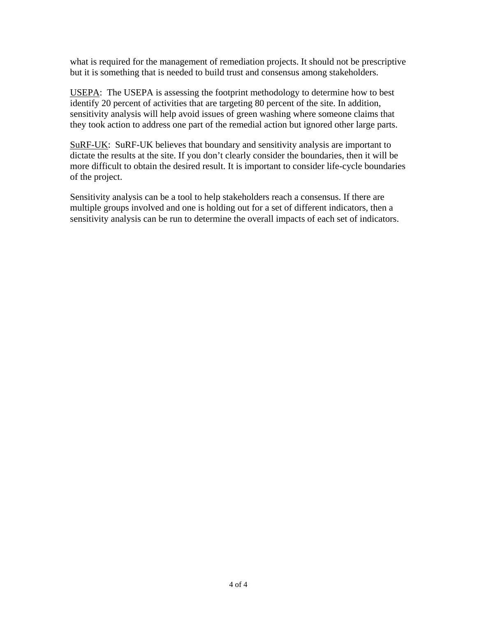what is required for the management of remediation projects. It should not be prescriptive but it is something that is needed to build trust and consensus among stakeholders.

USEPA: The USEPA is assessing the footprint methodology to determine how to best identify 20 percent of activities that are targeting 80 percent of the site. In addition, sensitivity analysis will help avoid issues of green washing where someone claims that they took action to address one part of the remedial action but ignored other large parts.

SuRF-UK: SuRF-UK believes that boundary and sensitivity analysis are important to dictate the results at the site. If you don't clearly consider the boundaries, then it will be more difficult to obtain the desired result. It is important to consider life-cycle boundaries of the project.

Sensitivity analysis can be a tool to help stakeholders reach a consensus. If there are multiple groups involved and one is holding out for a set of different indicators, then a sensitivity analysis can be run to determine the overall impacts of each set of indicators.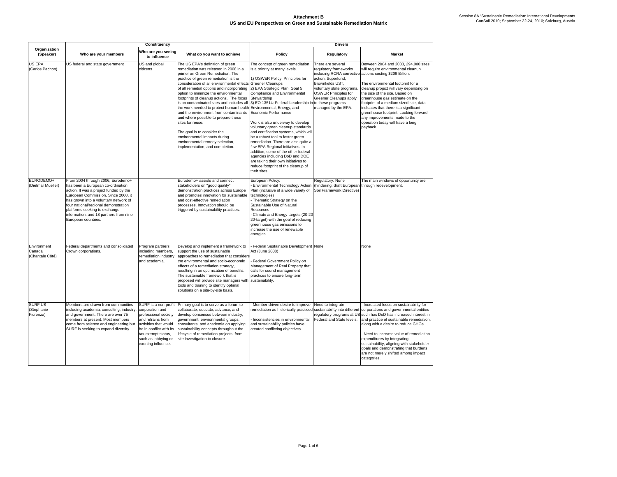|                                          |                                                                                                                                                                                                                                                                                                                                            | Constituency                                                                                                                                                                                                 |                                                                                                                                                                                                                                                                                                                                                                                                                                                                                                                                                                                                                                                                                                                                                             | <b>Drivers</b>                                                                                                                                                                                                                                                                                                                                                                                                                                                                                                                                                                                           |                                                                                                                                                                                                                        |                                                                                                                                                                                                                                                                                                                                                                                                                                                                                                        |  |
|------------------------------------------|--------------------------------------------------------------------------------------------------------------------------------------------------------------------------------------------------------------------------------------------------------------------------------------------------------------------------------------------|--------------------------------------------------------------------------------------------------------------------------------------------------------------------------------------------------------------|-------------------------------------------------------------------------------------------------------------------------------------------------------------------------------------------------------------------------------------------------------------------------------------------------------------------------------------------------------------------------------------------------------------------------------------------------------------------------------------------------------------------------------------------------------------------------------------------------------------------------------------------------------------------------------------------------------------------------------------------------------------|----------------------------------------------------------------------------------------------------------------------------------------------------------------------------------------------------------------------------------------------------------------------------------------------------------------------------------------------------------------------------------------------------------------------------------------------------------------------------------------------------------------------------------------------------------------------------------------------------------|------------------------------------------------------------------------------------------------------------------------------------------------------------------------------------------------------------------------|--------------------------------------------------------------------------------------------------------------------------------------------------------------------------------------------------------------------------------------------------------------------------------------------------------------------------------------------------------------------------------------------------------------------------------------------------------------------------------------------------------|--|
| Organization<br>(Speaker)                | Who are your members                                                                                                                                                                                                                                                                                                                       | Who are you seeing<br>to influence                                                                                                                                                                           | What do you want to achieve                                                                                                                                                                                                                                                                                                                                                                                                                                                                                                                                                                                                                                                                                                                                 | Policy                                                                                                                                                                                                                                                                                                                                                                                                                                                                                                                                                                                                   | Regulatory                                                                                                                                                                                                             | <b>Market</b>                                                                                                                                                                                                                                                                                                                                                                                                                                                                                          |  |
| US EPA<br>(Carlos Pachon)                | US federal and state government                                                                                                                                                                                                                                                                                                            | US and global<br>citizens                                                                                                                                                                                    | The US EPA's definition of green<br>remediation was released in 2008 in a<br>primer on Green Remediation. The<br>practice of green remediation is the<br>consideration of all environmental effects Greener Cleanups<br>of all remedial options and incorporating 2) EPA Strategic Plan: Goal 5<br>option to minimize the environmental<br>footprints of cleanup actions. The focus Stewardship<br>is on contaminated sites and includes all<br>the work needed to protect human health Environmental, Energy, and<br>and the environment from contaminants<br>and where possible to prepare these<br>sites for reuse.<br>The goal is to consider the<br>environmental impacts during<br>environmental remedy selection.<br>implementation, and completion. | The concept of green remediation<br>is a priority at many levels.<br>1) OSWER Policy: Principles for<br>Compliance and Environmental<br>3) EO 13514: Federal Leadership i<br>Economic Performance<br>Work is also underway to develop<br>voluntary green cleanup standards<br>and certification systems, which will<br>be a robust tool to foster green<br>remediation. There are also quite a<br>few EPA Regional initiatives. In<br>addition, some of the other federal<br>agencies including DoD and DOE<br>are taking their own initiatives to<br>reduce footprint of the cleanup of<br>their sites. | There are several<br>regulatory frameworks<br>action, Superfund,<br>Brownfields UST.<br>voluntary state programs.<br><b>OSWER Principles for</b><br>Greener Cleanups apply<br>to these programs<br>managed by the EPA. | Between 2004 and 2033, 294,000 sites<br>will require environmental cleanup<br>including RCRA corrective actions costing \$209 Billion.<br>The environmental footprint for a<br>cleanup project will vary depending on<br>the size of the site. Based on<br>greenhouse gas estimate on the<br>footprint of a medium sized site, data<br>indicates that there is a significant<br>greenhouse footprint. Looking forward,<br>any improvements made to the<br>operation today will have a long<br>payback. |  |
| EURODEMO+<br>(Dietmar Mueller)           | From 2004 through 2006, Eurodemo+<br>has been a European co-ordination<br>action. It was a project funded by the<br>European Commission. Since 2008, it<br>has grown into a voluntary network of<br>four national/regional demonstration<br>platforms seeking to exchange<br>information. and 18 partners from nine<br>European countries. |                                                                                                                                                                                                              | Eurodemo+ assists and connect<br>stakeholders on "good quality"<br>demonstration practices across Europe<br>and promotes innovation for sustainable<br>and cost-effective remediation<br>processes. Innovation should be<br>triggered by sustainability practices.                                                                                                                                                                                                                                                                                                                                                                                                                                                                                          | European Policy:<br><b>Environmental Technology Action</b><br>Plan (inclusive of a wide variety of<br>technologies)<br>Thematic Strategy on the<br>Sustainable Use of Natural<br>Resources<br>Climate and Energy targets (20-20<br>20-target) with the goal of reducing<br>greenhouse gas emissions to<br>increase the use of renewable<br>energies                                                                                                                                                                                                                                                      | Regulatory: None<br>(hindering: draft European<br>Soil Framework Directive)                                                                                                                                            | The main windows of opportunity are<br>through redevelopment.                                                                                                                                                                                                                                                                                                                                                                                                                                          |  |
| Environment<br>Canada<br>(Chantale Côté) | Federal departments and consolidated<br>Crown corporations.                                                                                                                                                                                                                                                                                | Program partners<br>including members,<br>remediation industry<br>and academia.                                                                                                                              | Develop and implement a framework to<br>support the use of sustainable<br>approaches to remediation that considers<br>the environmental and socio-economic<br>effects of a remediation strategy,<br>resulting in an optimization of benefits.<br>The sustainable framework that is<br>proposed will provide site managers with sustainability.<br>tools and training to identify optimal<br>solutions on a site-by-site basis.                                                                                                                                                                                                                                                                                                                              | Federal Sustainable Development None<br>Act (June 2008)<br>Federal Government Policy on<br>Management of Real Property that<br>calls for sound management<br>practices to ensure long-term                                                                                                                                                                                                                                                                                                                                                                                                               |                                                                                                                                                                                                                        | None                                                                                                                                                                                                                                                                                                                                                                                                                                                                                                   |  |
| SURF US<br>(Stephanie<br>Fiorenza)       | Members are drawn from communities<br>including academia, consulting, industry,<br>and government. There are over 75<br>members at present. Most members<br>come from science and engineering but<br>SURF is seeking to expand diversity.                                                                                                  | SURF is a non-profit<br>corporation and<br>professional society<br>and refrains from<br>activities that would<br>be in conflict with its<br>tax-exempt status,<br>such as lobbying or<br>exerting influence. | Primary goal is to serve as a forum to<br>collaborate, educate, advance, and<br>develop consensus between industry,<br>government, environmental groups,<br>consultants, and academia on applying<br>sustainability concepts throughout the<br>lifecycle of remediation projects, from<br>site investigation to closure.                                                                                                                                                                                                                                                                                                                                                                                                                                    | Member-driven desire to improve<br>emediation as historically practiced<br>Inconsistencies in environmental<br>and sustainability policies have<br>created conflicting objectives                                                                                                                                                                                                                                                                                                                                                                                                                        | Need to integrate<br>sustainability into different<br>Federal and State levels.                                                                                                                                        | Increased focus on sustainability for<br>corporations and governmental entities<br>regulatory programs at US such has DoD has increased interest in<br>and practice of sustainable remediation,<br>along with a desire to reduce GHGs.<br>Need to increase value of remediation<br>expenditures by integrating<br>sustainability, aligning with stakeholder<br>goals and demonstrating that burdens<br>are not merely shifted among impact<br>categories.                                              |  |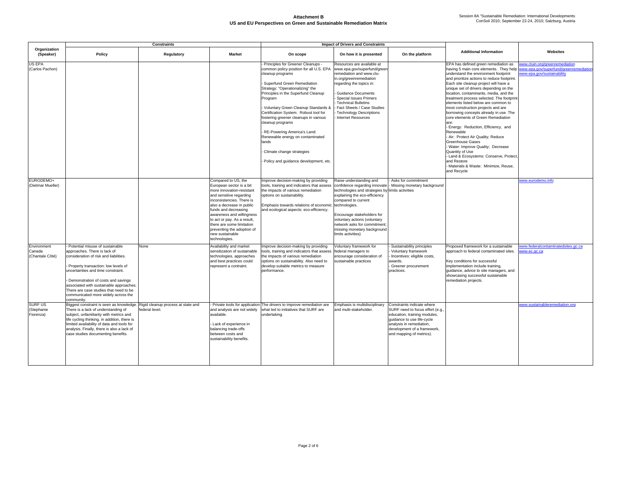|                                           | <b>Constraints</b>                                                                                                                                                                                                                                                                                                                                                       |                                                      |                                                                                                                                                                                                                                                                                                                                                      | <b>Impact of Drivers and Constraints</b>                                                                                                                                                                                                                                                                                                                                                                                                                                                                             |                                                                                                                                                                                                                                                                                                                         |                                                                                                                                                                                                                    |                                                                                                                                                                                                                                                                                                                                                                                                                                                                                                                                                                                                                                                                                                                                                                     |                                                                                                                                             |
|-------------------------------------------|--------------------------------------------------------------------------------------------------------------------------------------------------------------------------------------------------------------------------------------------------------------------------------------------------------------------------------------------------------------------------|------------------------------------------------------|------------------------------------------------------------------------------------------------------------------------------------------------------------------------------------------------------------------------------------------------------------------------------------------------------------------------------------------------------|----------------------------------------------------------------------------------------------------------------------------------------------------------------------------------------------------------------------------------------------------------------------------------------------------------------------------------------------------------------------------------------------------------------------------------------------------------------------------------------------------------------------|-------------------------------------------------------------------------------------------------------------------------------------------------------------------------------------------------------------------------------------------------------------------------------------------------------------------------|--------------------------------------------------------------------------------------------------------------------------------------------------------------------------------------------------------------------|---------------------------------------------------------------------------------------------------------------------------------------------------------------------------------------------------------------------------------------------------------------------------------------------------------------------------------------------------------------------------------------------------------------------------------------------------------------------------------------------------------------------------------------------------------------------------------------------------------------------------------------------------------------------------------------------------------------------------------------------------------------------|---------------------------------------------------------------------------------------------------------------------------------------------|
| Organization<br>(Speaker)                 | Policy                                                                                                                                                                                                                                                                                                                                                                   | Regulatory                                           | <b>Market</b>                                                                                                                                                                                                                                                                                                                                        | On scope                                                                                                                                                                                                                                                                                                                                                                                                                                                                                                             | On how it is presented                                                                                                                                                                                                                                                                                                  | On the platform                                                                                                                                                                                                    | <b>Additional Information</b>                                                                                                                                                                                                                                                                                                                                                                                                                                                                                                                                                                                                                                                                                                                                       | Websites                                                                                                                                    |
| US EPA<br>(Carlos Pachon)                 |                                                                                                                                                                                                                                                                                                                                                                          |                                                      |                                                                                                                                                                                                                                                                                                                                                      | Principles for Greener Cleanups -<br>common policy position for all U.S. EPA<br>cleanup programs<br>Superfund Green Remediation<br>Strategy: "Operationalizing" the<br>Principles in the Superfund Cleanup<br>Program<br>Voluntary Green Cleanup Standards &<br>Certification System: Robust tool for<br>fostering greener cleanups in various<br>cleanup programs<br>RE-Powering America's Land:<br>Renewable energy on contaminated<br>lands<br>Climate change strategies<br>Policy and guidance development, etc. | Resources are available at<br>www.epa.gov/superfund/greer<br>remediation and www.clu-<br>in.org/greenremediation<br>regarding the topics in:<br>Guidance Documents<br><b>Special Issues Primers</b><br><b>Technical Bulletins</b><br>Fact Sheets / Case Studies<br><b>Technology Descriptions</b><br>Internet Resources |                                                                                                                                                                                                                    | EPA has defined green remediation as<br>understand the environment footprint<br>and prioritize actions to reduce footprint.<br>Each site cleanup project will have a<br>unique set of drivers depending on the<br>location, contaminants, media, and the<br>treatment process selected. The footprint<br>elements listed below are common to<br>most construction projects and are<br>borrowing concepts already in use. The<br>core elements of Green Remediation<br>are:<br>- Energy: Reduction, Efficiency, and<br>Renewable<br>- Air: Protect Air Quality; Reduce<br>Greenhouse Gases<br>- Water: Improve Quality; Decrease<br>Quantity of Use<br>- Land & Ecosystems: Conserve, Protect<br>and Restore<br>- Materials & Waste: Minimize, Reuse,<br>and Recycle | ww.cluin.org/greenremediation<br>having 5 main core elements. They help www.epa.gov/superfund/greenremediation<br>ww.epa.gov/sustainability |
| <b>FURODEMO+</b><br>(Dietmar Mueller)     |                                                                                                                                                                                                                                                                                                                                                                          |                                                      | Compared to US, the<br>European sector is a bit<br>more innovation-resistant<br>and sensitive regarding<br>inconsistencies. There is<br>also a decrease in public<br>funds and decreasing<br>awareness and willingness<br>to act or pay. As a result,<br>there are some limitation<br>preventing the adoption of<br>new sustainable<br>technologies. | Improve decision-making by providing<br>tools, training and indicators that assess<br>the impacts of various remediation<br>options on sustainability.<br>Emphasis towards relations of economic<br>and ecological aspects: eco-efficiency.                                                                                                                                                                                                                                                                          | Raise understanding and<br>confidence regarding innovate<br>echnologies and strategies by<br>explaining the eco-efficiency<br>compared to current<br>technologies.<br>Encourage stakeholders for<br>voluntary actions (voluntary<br>network asks for commitment;<br>missing monetary background<br>limits activities)   | Asks for commitment<br>Missing monetary background<br>limits activities                                                                                                                                            |                                                                                                                                                                                                                                                                                                                                                                                                                                                                                                                                                                                                                                                                                                                                                                     | vww.eurodemo.info                                                                                                                           |
| Environment<br>Canada<br>(Chantale Côté)  | Potential misuse of sustainable<br>approaches. There is lack of<br>consideration of risk and liabilities.<br>Property transaction: low levels of<br>uncertainties and time constraint.<br>- Demonstration of costs and savings<br>associated with sustainable approaches.<br>There are case studies that need to be<br>communicated more widely across the<br>community. | None                                                 | Availability and market<br>sensitization of sustainable<br>technologies, approaches<br>and best practices could<br>represent a contraint.                                                                                                                                                                                                            | Improve decision-making by providing<br>tools, training and indicators that assess<br>the impacts of various remediation<br>options on sustainability. Also need to<br>develop suitable metrics to measure<br>performance.                                                                                                                                                                                                                                                                                           | Voluntary framework for<br>federal managers to<br>encourage consideration of<br>sustainable practices                                                                                                                                                                                                                   | Sustainability principles<br>Voluntary framework<br>Incentives: eligible costs,<br>awards.<br>Greener procurement<br>practices.                                                                                    | Proposed framework for a sustainable<br>approach to federal contaminated sites.<br>Key conditions for successful<br>implementation include training,<br>guidance, advice to site managers, and<br>showcasing successful sustainable<br>remediation projects.                                                                                                                                                                                                                                                                                                                                                                                                                                                                                                        | ww.federalcontaminatedsites.gc.ca<br>ww.ec.gc.ca                                                                                            |
| <b>SURF US</b><br>(Stephanie<br>Fiorenza) | Biggest constraint is seen as knowledge.<br>There is a lack of understanding of<br>subject, unfamiliarity with metrics and<br>life cycling thinking. in addition, there is<br>limited availability of data and tools for<br>analysis. Finally, there is also a lack of<br>case studies documenting benefits.                                                             | Rigid cleanup process at state and<br>federal level. | - Private tools for application<br>and analysis are not widely<br>available.<br>- Lack of experience in<br>balancing trade-offs<br>between costs and<br>sustainability benefits.                                                                                                                                                                     | The drivers to improve remediation are<br>what led to initiatives that SURF are<br>undertaking.                                                                                                                                                                                                                                                                                                                                                                                                                      | Emphasis is multidisciplinary<br>and multi-stakeholder.                                                                                                                                                                                                                                                                 | Constraints indicate where<br>SURF need to focus effort (e.g.<br>education, training modules,<br>quidance to use life-cycle<br>analysis in remediation,<br>development of a framework.<br>and mapping of metrics). |                                                                                                                                                                                                                                                                                                                                                                                                                                                                                                                                                                                                                                                                                                                                                                     | ww.sustainableremediation.org                                                                                                               |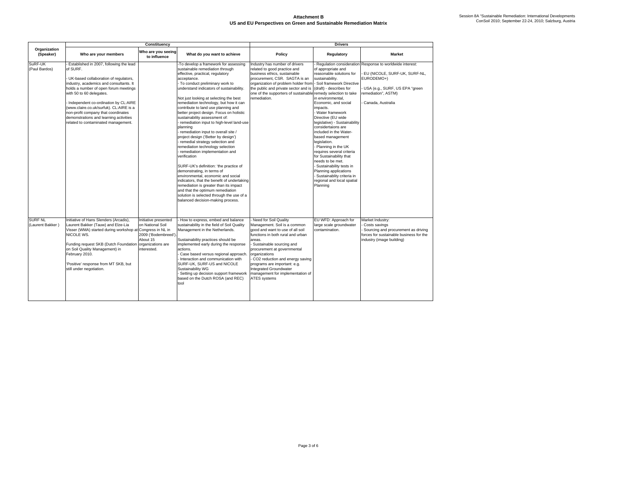|                                    |                                                                                                                                                                                                                                                                                                                                                                                                                             | Constituency                                                                                                                         |                                                                                                                                                                                                                                                                                                                                                                                                                                                                                                                                                                                                                                                                                                                                                                                                                                                                                                                                                                                                               | <b>Drivers</b>                                                                                                                                                                                                                                                                                                                                                                      |                                                                                                                                                                                                                                                                                                                                                                                                                                                                                                                                                                                                            |                                                                                                                                                              |  |
|------------------------------------|-----------------------------------------------------------------------------------------------------------------------------------------------------------------------------------------------------------------------------------------------------------------------------------------------------------------------------------------------------------------------------------------------------------------------------|--------------------------------------------------------------------------------------------------------------------------------------|---------------------------------------------------------------------------------------------------------------------------------------------------------------------------------------------------------------------------------------------------------------------------------------------------------------------------------------------------------------------------------------------------------------------------------------------------------------------------------------------------------------------------------------------------------------------------------------------------------------------------------------------------------------------------------------------------------------------------------------------------------------------------------------------------------------------------------------------------------------------------------------------------------------------------------------------------------------------------------------------------------------|-------------------------------------------------------------------------------------------------------------------------------------------------------------------------------------------------------------------------------------------------------------------------------------------------------------------------------------------------------------------------------------|------------------------------------------------------------------------------------------------------------------------------------------------------------------------------------------------------------------------------------------------------------------------------------------------------------------------------------------------------------------------------------------------------------------------------------------------------------------------------------------------------------------------------------------------------------------------------------------------------------|--------------------------------------------------------------------------------------------------------------------------------------------------------------|--|
| Organization<br>(Speaker)          | Who are your members                                                                                                                                                                                                                                                                                                                                                                                                        | Who are you seeing<br>to influence                                                                                                   | What do you want to achieve                                                                                                                                                                                                                                                                                                                                                                                                                                                                                                                                                                                                                                                                                                                                                                                                                                                                                                                                                                                   | Policy                                                                                                                                                                                                                                                                                                                                                                              | Regulatory                                                                                                                                                                                                                                                                                                                                                                                                                                                                                                                                                                                                 | <b>Market</b>                                                                                                                                                |  |
| SuRF-UK<br>(Paul Bardos)           | Established in 2007, following the lead<br>of SURF.<br>- UK-based collaboration of regulators,<br>industry, academics and consultants. It<br>holds a number of open forum meetings<br>with 50 to 60 delegates.<br>- Independent co-ordination by CL:AIRE<br>(www.claire.co.uk/surfuk). CL:AIRE is a<br>non-profit company that coordinates<br>demonstrations and learning activities<br>related to contaminated management. |                                                                                                                                      | -To develop a framework for assessing<br>sustainable remediation through<br>effective, practical, regulatory<br>acceptance.<br>To conduct preliminary work to<br>understand indicators of sustainability.<br>Not just looking at selecting the best<br>remediation technology, but how it can<br>contribute to land use planning and<br>better project design. Focus on holistic<br>sustainability assessment of:<br>remediation input to high-level land-use<br>planning<br>remediation input to overall site /<br>project design ('Better by design')<br>remedial strategy selection and<br>remediation technology selection<br>remediation implementation and<br>verification<br>SURF-UK's definition: 'the practice of<br>demonstrating, in terms of<br>environmental, economic and social<br>indicators, that the benefit of undertaking<br>remediation is greater than its impact<br>and that the optimum remediation<br>solution is selected through the use of a<br>balanced decision-making process. | Industry has number of drivers<br>related to good practice and<br>business ethics, sustainable<br>procurement, CSR. SAGTA is an<br>organization of problem holder from<br>the public and private sector and is<br>one of the supporters of sustainable remedy selection to take<br>remediation.                                                                                     | Regulation consideration<br>of appropriate and<br>reasonable solutions for<br>sustainability.<br>Soil framework Directive<br>(draft) - describes for<br>in environmental.<br>Economic, and social<br>impacts.<br>- Water framework<br>Directive (EU wide<br>legislative) - Sustainability<br>considertaions are<br>included in the Water-<br>based management<br>legislation.<br>Planning in the UK<br>requires several criteria<br>for Sustainability that<br>needs to be met.<br>Sustainability tests in<br>Planning applications<br>Sustainablity criteria in<br>regional and local spatial<br>Planning | Response to worldwide interest:<br>EU (NICOLE, SURF-UK, SURF-NL,<br>EURODEMO+)<br>USA (e.g., SURF, US EPA "green<br>remediation", ASTM)<br>Canada, Australia |  |
| <b>SURF NL</b><br>(Laurent Bakker) | Initiative of Hans Slenders (Arcadis),<br>Laurent Bakker (Tauw) and Elze-Lia<br>Visser (WMA) started during workshop at<br>NICOLE WS.<br>Funding request SKB (Dutch Foundation<br>on Soil Quality Management) in<br>February 2010.<br>'Positive' response from MT SKB, but<br>still under negotiation.                                                                                                                      | Initiative presented<br>on National Soil<br>Congress in NL in<br>2009 ('Bodembreed')<br>About 15<br>organizations are<br>interested. | How to express, embed and balance<br>sustainability in the field of Soil Quality<br>Management in the Netherlands.<br>Sustainability practices should be<br>implemented early during the response<br>actions.<br>Case based versus regional approach.<br>Interaction and communication with<br>SURF-UK, SURF-US and NICOLE<br>Sustainability WG<br>Setting up decision support framework<br>based on the Dutch ROSA (and REC)<br>tool                                                                                                                                                                                                                                                                                                                                                                                                                                                                                                                                                                         | Need for Soil Quality<br>Management. Soil is a common<br>good and want to use of all soil<br>functions in both rural and urban<br>areas.<br>Sustainable sourcing and<br>procurement at governmental<br>organizations<br>CO2 reduction and energy saving<br>programs are important: e.g.<br><b>Integrated Groundwater</b><br>management for implementation of<br><b>ATES</b> systems | EU WFD: Approach for<br>large scale groundwater<br>contamination.                                                                                                                                                                                                                                                                                                                                                                                                                                                                                                                                          | Market Industry:<br>Costs savings<br>Sourcing and procurement as driving<br>forces for sustainable business for the<br>industry (image building)             |  |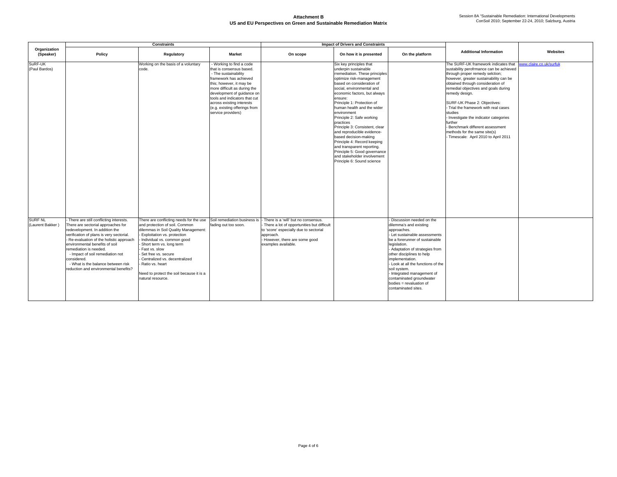|                                    | <b>Constraints</b>                                                                                                                                                                                                                                                                                                                                                                                   |                                                                                                                                                                                                                                                                                                                                                                                                          | <b>Impact of Drivers and Constraints</b>                                                                                                                                                                                                                                                                              |                                                                                                                                                                                                   |                                                                                                                                                                                                                                                                                                                                                                                                                                                                                                                                                                                            |                                                                                                                                                                                                                                                                                                                                                                                                       |                                                                                                                                                                                                                                                                                                                                                                                                                                                                                                             |                         |
|------------------------------------|------------------------------------------------------------------------------------------------------------------------------------------------------------------------------------------------------------------------------------------------------------------------------------------------------------------------------------------------------------------------------------------------------|----------------------------------------------------------------------------------------------------------------------------------------------------------------------------------------------------------------------------------------------------------------------------------------------------------------------------------------------------------------------------------------------------------|-----------------------------------------------------------------------------------------------------------------------------------------------------------------------------------------------------------------------------------------------------------------------------------------------------------------------|---------------------------------------------------------------------------------------------------------------------------------------------------------------------------------------------------|--------------------------------------------------------------------------------------------------------------------------------------------------------------------------------------------------------------------------------------------------------------------------------------------------------------------------------------------------------------------------------------------------------------------------------------------------------------------------------------------------------------------------------------------------------------------------------------------|-------------------------------------------------------------------------------------------------------------------------------------------------------------------------------------------------------------------------------------------------------------------------------------------------------------------------------------------------------------------------------------------------------|-------------------------------------------------------------------------------------------------------------------------------------------------------------------------------------------------------------------------------------------------------------------------------------------------------------------------------------------------------------------------------------------------------------------------------------------------------------------------------------------------------------|-------------------------|
| Organization<br>(Speaker)          | Policy                                                                                                                                                                                                                                                                                                                                                                                               | Regulatory                                                                                                                                                                                                                                                                                                                                                                                               | <b>Market</b>                                                                                                                                                                                                                                                                                                         | On scope                                                                                                                                                                                          | On how it is presented                                                                                                                                                                                                                                                                                                                                                                                                                                                                                                                                                                     | On the platform                                                                                                                                                                                                                                                                                                                                                                                       | <b>Additional Information</b>                                                                                                                                                                                                                                                                                                                                                                                                                                                                               | Websites                |
| SuRF-UK<br>(Paul Bardos)           |                                                                                                                                                                                                                                                                                                                                                                                                      | Working on the basis of a voluntary<br>code.                                                                                                                                                                                                                                                                                                                                                             | - Working to find a code<br>that is consensus based.<br>- The sustainability<br>framework has achieved<br>this; however, it may be<br>more difficult as during the<br>development of guidance on<br>tools and indicators that cut<br>across existing interests<br>(e.g. existing offerings from<br>service providers) |                                                                                                                                                                                                   | Six key principles that<br>underpin sustainable<br>rremediation. These principles<br>optimize risk-management<br>based on consideration of<br>social, environmental and<br>economic factors, but always<br>ensure:<br>Principle 1: Protection of<br>human health and the wider<br>environment<br>Principle 2: Safe working<br>practices<br>Principle 3: Consistent, clear<br>and reproducible evidence-<br>based decision-making<br>Principle 4: Record keeping<br>and transparent reporting.<br>Principle 5: Good governance<br>and stakeholder involvement<br>Principle 6: Sound science |                                                                                                                                                                                                                                                                                                                                                                                                       | The SURF-UK framework indicates that<br>sustability perofrmance can be achieved<br>through proper remedy selction;<br>however, greater sustainability can be<br>obtained through consideration of<br>remedial objectives and goals during<br>remedy design.<br>SURF-UK Phase 2: Objectives:<br>- Trial the framework with real cases<br>studies<br>Investigate the indicator categories<br>further<br>Benchmark different assessment<br>methods for the same site(s)<br>Timescale: April 2010 to April 2011 | www.claire.co.uk/surfuk |
| <b>SURF NL</b><br>(Laurent Bakker) | There are still conflicting interests.<br>There are sectorial approaches for<br>redevelopment. In addition the<br>verification of plans is very sectorial.<br>- Re-evaluation of the holistic approach<br>environmental benefits of soil<br>remediation is needed.<br>- Impact of soil remediation not<br>considered.<br>- What is the balance between risk<br>reduction and environmental benefits? | There are conflicting needs for the use Soil remediation business is<br>and protection of soil. Common<br>dilemmas in Soil Quality Management:<br>Exploitation vs. protection<br>Individual vs. common good<br>Short term vs. long term<br>- Fast vs. slow<br>- Set free vs. secure<br>Centralized vs. decentralized<br>Ratio vs. heart<br>Need to protect the soil because it is a<br>natural resource. | fading out too soon.                                                                                                                                                                                                                                                                                                  | - There is a 'will' but no consensus.<br>There a lot of opportunities but difficult<br>to 'score' especially due to sectorial<br>approach.<br>However, there are some good<br>examples available. |                                                                                                                                                                                                                                                                                                                                                                                                                                                                                                                                                                                            | Discussion needed on the<br>dilemma's and existing<br>approaches.<br>- Let sustainable assessments<br>be a forerunner of sustainable<br>legislation.<br>Adaptation of strategies from<br>other disciplines to help<br>implementation.<br>- Look at all the functions of the<br>soil system.<br>Integrated management of<br>contaminated groundwater<br>bodies = revaluation of<br>contaminated sites. |                                                                                                                                                                                                                                                                                                                                                                                                                                                                                                             |                         |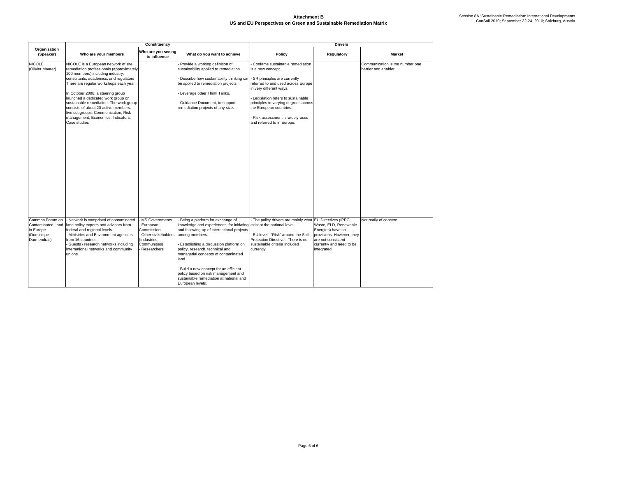|                                                                                        | Constituency                                                                                                                                                                                                                                                                                                                                                                                                                                                        |                                                                                                               |                                                                                                                                                                                                                                                                                                                                                                                                                                                      | <b>Drivers</b>                                                                                                                                                                                                                                                                                                                  |                                                                                                                                            |                                                         |  |  |
|----------------------------------------------------------------------------------------|---------------------------------------------------------------------------------------------------------------------------------------------------------------------------------------------------------------------------------------------------------------------------------------------------------------------------------------------------------------------------------------------------------------------------------------------------------------------|---------------------------------------------------------------------------------------------------------------|------------------------------------------------------------------------------------------------------------------------------------------------------------------------------------------------------------------------------------------------------------------------------------------------------------------------------------------------------------------------------------------------------------------------------------------------------|---------------------------------------------------------------------------------------------------------------------------------------------------------------------------------------------------------------------------------------------------------------------------------------------------------------------------------|--------------------------------------------------------------------------------------------------------------------------------------------|---------------------------------------------------------|--|--|
| Organization<br>(Speaker)                                                              | Who are your members                                                                                                                                                                                                                                                                                                                                                                                                                                                | Who are you seeing<br>to influence                                                                            | What do you want to achieve                                                                                                                                                                                                                                                                                                                                                                                                                          | Policy                                                                                                                                                                                                                                                                                                                          | Regulatory                                                                                                                                 | <b>Market</b>                                           |  |  |
| <b>NICOLE</b><br>(Olivier Maurer)                                                      | NICOLE is a European network of site<br>remediation professionals (approximately<br>100 members) including industry,<br>consultants, academics, and regulators<br>There are regular workshops each year.<br>In October 2008, a steering group<br>launched a dedicated work group on<br>sustainable remediation. The work group<br>consists of about 20 active members,<br>five subgroups: Communication, Risk<br>management, Economics, Indicators,<br>Case studies |                                                                                                               | Provide a working definition of<br>sustainability applied to remediation.<br>Describe how sustainability thinking car<br>be applied to remediation projects.<br>Leverage other Think Tanks.<br>Guidance Document, to support<br>remediation projects of any size.                                                                                                                                                                                    | Confirms sustainable remediation<br>is a new concept.<br>- SR principles are currently<br>referred to and used across Europe<br>in very different ways.<br>Legislation refers to sustainable<br>principles to varying degrees across<br>the European countries.<br>Risk assessment is widely-used<br>and referred to in Europe. |                                                                                                                                            | Communication is the number one<br>barrier and enabler. |  |  |
| Common Forum on<br><b>Contaminated Land</b><br>in Europe<br>(Dominique<br>Darmendrail) | - Network is comprised of contaminated<br>land policy experts and advisors from<br>federal and regional levels.<br>Ministries and Environment agencies<br>from 16 countries.<br>Guests / research networks including<br>international networks and community<br>unions.                                                                                                                                                                                             | MS Governments<br>European<br>Commission<br>Other stakeholders<br>(Industries,<br>Communities)<br>Researchers | Being a platform for exchange of<br>knowledge and experiences, for initiating exist at the national level.<br>and following-up of international projects<br>among members.<br>Establishing a discussion platform on<br>policy, research, technical and<br>managerial concepts of contaminated<br>land.<br>Build a new concept for an efficient<br>policy based on risk management and<br>sustainable remediation at national and<br>European levels. | - The policy drivers are mainly what EU Directives (IPPC,<br>EU level: "Risk" around the Soil<br>Protection Directive. There is no<br>sustainable criteria included<br>currently.                                                                                                                                               | Waste, ELD, Renewable<br>Energies) have soil<br>provisions. However, they<br>are not consistent<br>currently and need to be<br>integrated. | Not really of concern.                                  |  |  |